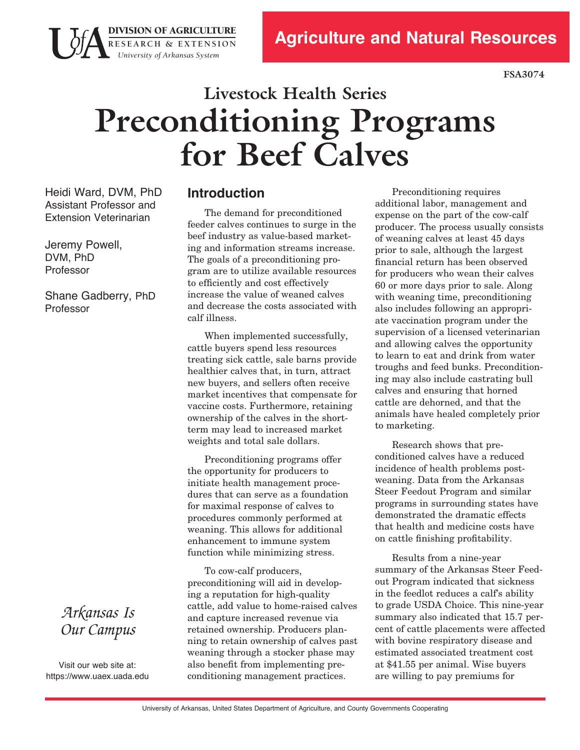# **Livestock Health Series Preconditioning Programs for Beef Calves**

Heidi Ward, DVM, PhD Assistant Professor and Extension Veterinarian

Jeremy Powell, DVM, PhD Professor

Shane Gadberry, PhD Professor

# *Arkansas Is Our Campus*

Visit our web site at: https[://www.uaex](https://www.uaex.uada.edu).uada.edu

#### **Introduction**

DIVISION OF AGRICULTURE **RESEARCH & EXTENSION**  *University of Arkansas System* 

> The demand for preconditioned feeder calves continues to surge in the beef industry as value-based marketing and information streams increase. The goals of a preconditioning program are to utilize available resources to efficiently and cost effectively increase the value of weaned calves and decrease the costs associated with calf illness.

> When implemented successfully, cattle buyers spend less resources treating sick cattle, sale barns provide healthier calves that, in turn, attract new buyers, and sellers often receive market incentives that compensate for vaccine costs. Furthermore, retaining ownership of the calves in the shortterm may lead to increased market weights and total sale dollars.

Preconditioning programs offer the opportunity for producers to initiate health management procedures that can serve as a foundation for maximal response of calves to procedures commonly performed at weaning. This allows for additional enhancement to immune system function while minimizing stress.

To cow-calf producers, preconditioning will aid in developing a reputation for high-quality cattle, add value to home-raised calves and capture increased revenue via retained ownership. Producers planning to retain ownership of calves past weaning through a stocker phase may also beneft from implementing preconditioning management practices.

Preconditioning requires additional labor, management and expense on the part of the cow-calf producer. The process usually consists of weaning calves at least 45 days prior to sale, although the largest fnancial return has been observed for producers who wean their calves 60 or more days prior to sale. Along with weaning time, preconditioning also includes following an appropriate vaccination program under the supervision of a licensed veterinarian and allowing calves the opportunity to learn to eat and drink from water troughs and feed bunks. Preconditioning may also include castrating bull calves and ensuring that horned cattle are dehorned, and that the animals have healed completely prior to marketing.

Research shows that preconditioned calves have a reduced incidence of health problems postweaning. Data from the Arkansas Steer Feedout Program and similar programs in surrounding states have demonstrated the dramatic effects that health and medicine costs have on cattle fnishing proftability.

Results from a nine-year summary of the Arkansas Steer Feedout Program indicated that sickness in the feedlot reduces a calf's ability to grade USDA Choice. This nine-year summary also indicated that 15.7 percent of cattle placements were affected with bovine respiratory disease and estimated associated treatment cost at \$41.55 per animal. Wise buyers are willing to pay premiums for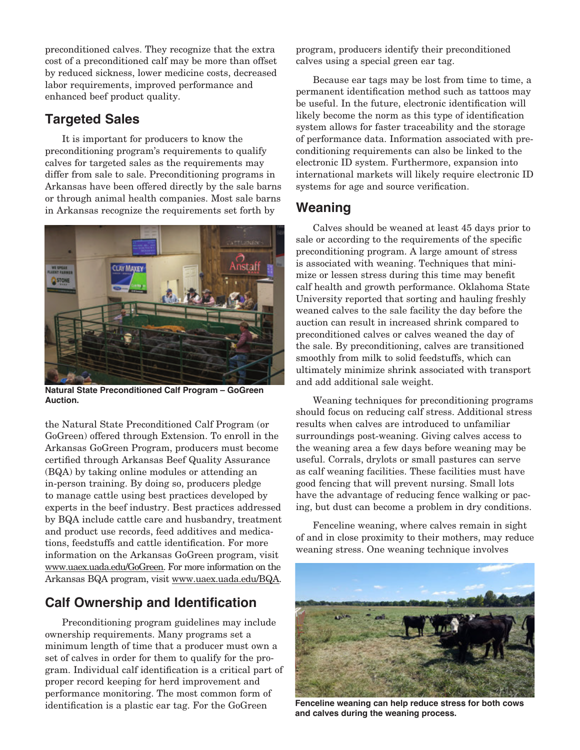preconditioned calves. They recognize that the extra cost of a preconditioned calf may be more than offset by reduced sickness, lower medicine costs, decreased labor requirements, improved performance and enhanced beef product quality.

# **Targeted Sales**

It is important for producers to know the preconditioning program's requirements to qualify calves for targeted sales as the requirements may differ from sale to sale. Preconditioning programs in Arkansas have been offered directly by the sale barns or through animal health companies. Most sale barns in Arkansas recognize the requirements set forth by



**Natural State Preconditioned Calf Program – GoGreen Auction.** 

the Natural State Preconditioned Calf Program (or GoGreen) offered through Extension. To enroll in the Arkansas GoGreen Program, producers must become certifed through Arkansas Beef Quality Assurance (BQA) by taking online modules or attending an in-person training. By doing so, producers pledge to manage cattle using best practices developed by experts in the beef industry. Best practices addressed by BQA include cattle care and husbandry, treatment and product use records, feed additives and medications, feedstuffs and cattle identifcation. For more information on the Arkansas GoGreen program, visit www.uaex.uada[.edu/GoGreen.](https://www.uaex.uada.edu/farm-ranch/animals-forages/beef-cattle/precon.aspx) For more information on the Arkansas BQA program, visit [www.uaex](https://www.uaex.uada.edu/farm-ranch/animals-forages/beef-cattle/quality-assurance.aspx).uada.edu/BQA.

# **Calf Ownership and Identification**

Preconditioning program guidelines may include ownership requirements. Many programs set a minimum length of time that a producer must own a set of calves in order for them to qualify for the program. Individual calf identifcation is a critical part of proper record keeping for herd improvement and performance monitoring. The most common form of identifcation is a plastic ear tag. For the GoGreen

program, producers identify their preconditioned calves using a special green ear tag.

Because ear tags may be lost from time to time, a permanent identifcation method such as tattoos may be useful. In the future, electronic identifcation will likely become the norm as this type of identifcation system allows for faster traceability and the storage of performance data. Information associated with preconditioning requirements can also be linked to the electronic ID system. Furthermore, expansion into international markets will likely require electronic ID systems for age and source verifcation.

# **Weaning**

Calves should be weaned at least 45 days prior to sale or according to the requirements of the specifc preconditioning program. A large amount of stress is associated with weaning. Techniques that minimize or lessen stress during this time may beneft calf health and growth performance. Oklahoma State University reported that sorting and hauling freshly weaned calves to the sale facility the day before the auction can result in increased shrink compared to preconditioned calves or calves weaned the day of the sale. By preconditioning, calves are transitioned smoothly from milk to solid feedstuffs, which can ultimately minimize shrink associated with transport and add additional sale weight.

Weaning techniques for preconditioning programs should focus on reducing calf stress. Additional stress results when calves are introduced to unfamiliar surroundings post-weaning. Giving calves access to the weaning area a few days before weaning may be useful. Corrals, drylots or small pastures can serve as calf weaning facilities. These facilities must have good fencing that will prevent nursing. Small lots have the advantage of reducing fence walking or pacing, but dust can become a problem in dry conditions.

Fenceline weaning, where calves remain in sight of and in close proximity to their mothers, may reduce weaning stress. One weaning technique involves



**Fenceline weaning can help reduce stress for both cows and calves during the weaning process.**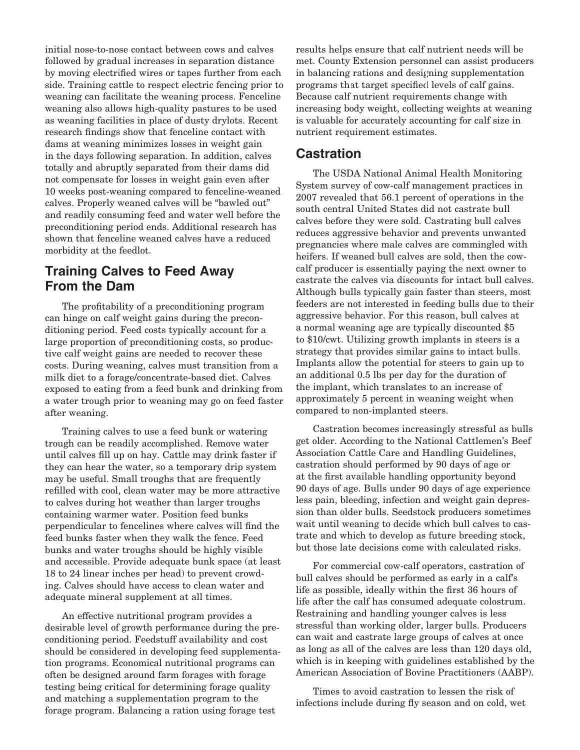initial nose-to-nose contact between cows and calves followed by gradual increases in separation distance by moving electrifed wires or tapes further from each side. Training cattle to respect electric fencing prior to weaning can facilitate the weaning process. Fenceline weaning also allows high-quality pastures to be used as weaning facilities in place of dusty drylots. Recent research fndings show that fenceline contact with dams at weaning minimizes losses in weight gain in the days following separation. In addition, calves totally and abruptly separated from their dams did not compensate for losses in weight gain even after 10 weeks post-weaning compared to fenceline-weaned calves. Properly weaned calves will be "bawled out" and readily consuming feed and water well before the preconditioning period ends. Additional research has shown that fenceline weaned calves have a reduced morbidity at the feedlot.

# **Training Calves to Feed Away From the Dam**

The proftability of a preconditioning program can hinge on calf weight gains during the preconditioning period. Feed costs typically account for a large proportion of preconditioning costs, so productive calf weight gains are needed to recover these costs. During weaning, calves must transition from a milk diet to a forage/concentrate-based diet. Calves exposed to eating from a feed bunk and drinking from a water trough prior to weaning may go on feed faster after weaning.

Training calves to use a feed bunk or watering trough can be readily accomplished. Remove water until calves fll up on hay. Cattle may drink faster if they can hear the water, so a temporary drip system may be useful. Small troughs that are frequently reflled with cool, clean water may be more attractive to calves during hot weather than larger troughs containing warmer water. Position feed bunks perpendicular to fencelines where calves will fnd the feed bunks faster when they walk the fence. Feed bunks and water troughs should be highly visible and accessible. Provide adequate bunk space (at least 18 to 24 linear inches per head) to prevent crowding. Calves should have access to clean water and adequate mineral supplement at all times.

An effective nutritional program provides a desirable level of growth performance during the preconditioning period. Feedstuff availability and cost should be considered in developing feed supplementation programs. Economical nutritional programs can often be designed around farm forages with forage testing being critical for determining forage quality and matching a supplementation program to the forage program. Balancing a ration using forage test

 met. County Extension personnel can assist producers results helps ensure that calf nutrient needs will be in balancing rations and designing supplementation programs that target specifed levels of calf gains. Because calf nutrient requirements change with increasing body weight, collecting weights at weaning is valuable for accurately accounting for calf size in nutrient requirement estimates.

#### **Castration**

The USDA National Animal Health Monitoring System survey of cow-calf management practices in 2007 revealed that 56.1 percent of operations in the south central United States did not castrate bull calves before they were sold. Castrating bull calves reduces aggressive behavior and prevents unwanted pregnancies where male calves are commingled with heifers. If weaned bull calves are sold, then the cowcalf producer is essentially paying the next owner to castrate the calves via discounts for intact bull calves. Although bulls typically gain faster than steers, most feeders are not interested in feeding bulls due to their aggressive behavior. For this reason, bull calves at a normal weaning age are typically discounted \$5 to \$10/cwt. Utilizing growth implants in steers is a strategy that provides similar gains to intact bulls. Implants allow the potential for steers to gain up to an additional 0.5 lbs per day for the duration of the implant, which translates to an increase of approximately 5 percent in weaning weight when compared to non-implanted steers.

Castration becomes increasingly stressful as bulls get older. According to the National Cattlemen's Beef Association Cattle Care and Handling Guidelines, castration should performed by 90 days of age or at the frst available handling opportunity beyond 90 days of age. Bulls under 90 days of age experience less pain, bleeding, infection and weight gain depression than older bulls. Seedstock producers sometimes wait until weaning to decide which bull calves to castrate and which to develop as future breeding stock, but those late decisions come with calculated risks.

For commercial cow-calf operators, castration of bull calves should be performed as early in a calf's life as possible, ideally within the frst 36 hours of life after the calf has consumed adequate colostrum. Restraining and handling younger calves is less stressful than working older, larger bulls. Producers can wait and castrate large groups of calves at once as long as all of the calves are less than 120 days old, which is in keeping with guidelines established by the American Association of Bovine Practitioners (AABP).

Times to avoid castration to lessen the risk of infections include during fy season and on cold, wet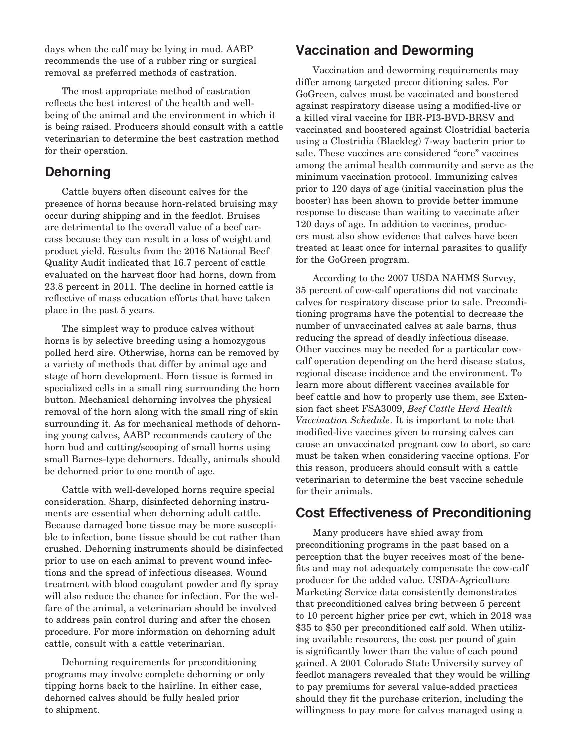days when the calf may be lying in mud. AABP recommends the use of a rubber ring or surgical removal as preferred methods of castration.

The most appropriate method of castration refects the best interest of the health and wellbeing of the animal and the environment in which it is being raised. Producers should consult with a cattle veterinarian to determine the best castration method for their operation.

## **Dehorning**

Cattle buyers often discount calves for the presence of horns because horn-related bruising may occur during shipping and in the feedlot. Bruises are detrimental to the overall value of a beef carcass because they can result in a loss of weight and product yield. Results from the 2016 National Beef Quality Audit indicated that 16.7 percent of cattle evaluated on the harvest foor had horns, down from 23.8 percent in 2011. The decline in horned cattle is refective of mass education efforts that have taken place in the past 5 years.

The simplest way to produce calves without horns is by selective breeding using a homozygous polled herd sire. Otherwise, horns can be removed by a variety of methods that differ by animal age and stage of horn development. Horn tissue is formed in specialized cells in a small ring surrounding the horn button. Mechanical dehorning involves the physical removal of the horn along with the small ring of skin surrounding it. As for mechanical methods of dehorning young calves, AABP recommends cautery of the horn bud and cutting/scooping of small horns using small Barnes-type dehorners. Ideally, animals should be dehorned prior to one month of age.

Cattle with well-developed horns require special consideration. Sharp, disinfected dehorning instruments are essential when dehorning adult cattle. Because damaged bone tissue may be more susceptible to infection, bone tissue should be cut rather than crushed. Dehorning instruments should be disinfected prior to use on each animal to prevent wound infections and the spread of infectious diseases. Wound treatment with blood coagulant powder and fy spray will also reduce the chance for infection. For the welfare of the animal, a veterinarian should be involved to address pain control during and after the chosen procedure. For more information on dehorning adult cattle, consult with a cattle veterinarian.

Dehorning requirements for preconditioning programs may involve complete dehorning or only tipping horns back to the hairline. In either case, dehorned calves should be fully healed prior to shipment.

### **Vaccination and Deworming**

Vaccination and deworming requirements may differ among targeted preconditioning sales. For GoGreen, calves must be vaccinated and boostered against respiratory disease using a modifed-live or a killed viral vaccine for IBR-PI3-BVD-BRSV and vaccinated and boostered against Clostridial bacteria using a Clostridia (Blackleg) 7-way bacterin prior to sale. These vaccines are considered "core" vaccines among the animal health community and serve as the minimum vaccination protocol. Immunizing calves prior to 120 days of age (initial vaccination plus the booster) has been shown to provide better immune response to disease than waiting to vaccinate after 120 days of age. In addition to vaccines, producers must also show evidence that calves have been treated at least once for internal parasites to qualify for the GoGreen program.

According to the 2007 USDA NAHMS Survey, 35 percent of cow-calf operations did not vaccinate calves for respiratory disease prior to sale. Preconditioning programs have the potential to decrease the number of unvaccinated calves at sale barns, thus reducing the spread of deadly infectious disease. Other vaccines may be needed for a particular cowcalf operation depending on the herd disease status, regional disease incidence and the environment. To learn more about different vaccines available for beef cattle and how to properly use them, see Extension fact sheet FSA3009, *Beef Cattle Herd Health Vaccination Schedule*. It is important to note that modifed-live vaccines given to nursing calves can cause an unvaccinated pregnant cow to abort, so care must be taken when considering vaccine options. For this reason, producers should consult with a cattle veterinarian to determine the best vaccine schedule for their animals.

#### **Cost Effectiveness of Preconditioning**

Many producers have shied away from preconditioning programs in the past based on a perception that the buyer receives most of the benefts and may not adequately compensate the cow-calf producer for the added value. USDA-Agriculture Marketing Service data consistently demonstrates that preconditioned calves bring between 5 percent to 10 percent higher price per cwt, which in 2018 was \$35 to \$50 per preconditioned calf sold. When utilizing available resources, the cost per pound of gain is signifcantly lower than the value of each pound gained. A 2001 Colorado State University survey of feedlot managers revealed that they would be willing to pay premiums for several value-added practices should they ft the purchase criterion, including the willingness to pay more for calves managed using a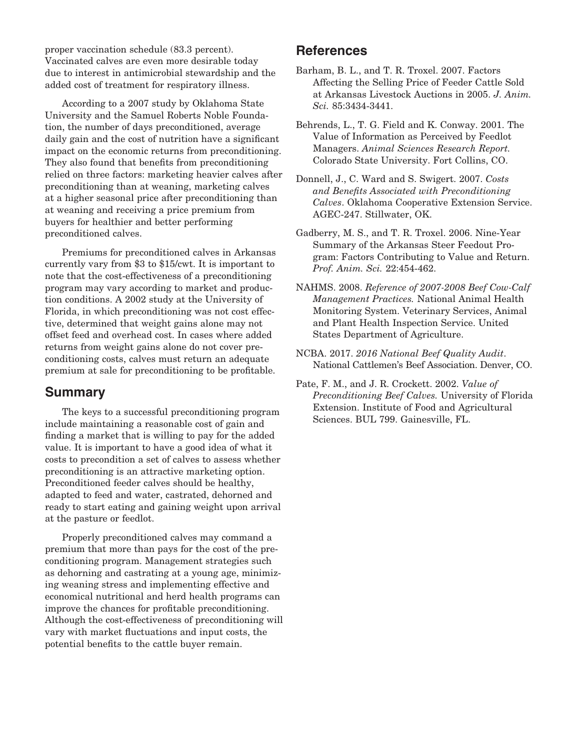proper vaccination schedule (83.3 percent). Vaccinated calves are even more desirable today due to interest in antimicrobial stewardship and the added cost of treatment for respiratory illness.

According to a 2007 study by Oklahoma State University and the Samuel Roberts Noble Foundation, the number of days preconditioned, average daily gain and the cost of nutrition have a signifcant impact on the economic returns from preconditioning. They also found that benefts from preconditioning relied on three factors: marketing heavier calves after preconditioning than at weaning, marketing calves at a higher seasonal price after preconditioning than at weaning and receiving a price premium from buyers for healthier and better performing preconditioned calves.

Premiums for preconditioned calves in Arkansas currently vary from \$3 to \$15/cwt. It is important to note that the cost-effectiveness of a preconditioning program may vary according to market and production conditions. A 2002 study at the University of Florida, in which preconditioning was not cost effective, determined that weight gains alone may not offset feed and overhead cost. In cases where added returns from weight gains alone do not cover preconditioning costs, calves must return an adequate premium at sale for preconditioning to be proftable.

#### **Summary**

The keys to a successful preconditioning program include maintaining a reasonable cost of gain and fnding a market that is willing to pay for the added value. It is important to have a good idea of what it costs to precondition a set of calves to assess whether preconditioning is an attractive marketing option. Preconditioned feeder calves should be healthy, adapted to feed and water, castrated, dehorned and ready to start eating and gaining weight upon arrival at the pasture or feedlot.

Properly preconditioned calves may command a premium that more than pays for the cost of the preconditioning program. Management strategies such as dehorning and castrating at a young age, minimizing weaning stress and implementing effective and economical nutritional and herd health programs can improve the chances for proftable preconditioning. Although the cost-effectiveness of preconditioning will vary with market fuctuations and input costs, the potential benefts to the cattle buyer remain.

#### **References**

- Barham, B. L., and T. R. Troxel. 2007. Factors Affecting the Selling Price of Feeder Cattle Sold at Arkansas Livestock Auctions in 2005. *J. Anim. Sci.* 85:3434-3441.
- Managers. *Animal Sciences Research Report.* Behrends, L., T. G. Field and K. Conway. 2001. The Value of Information as Perceived by Feedlot Colorado State University. Fort Collins, CO.
- Donnell, J., C. Ward and S. Swigert. 2007. *Costs and Benefts Associated with Preconditioning Calves*. Oklahoma Cooperative Extension Service. AGEC-247. Stillwater, OK.
- Gadberry, M. S., and T. R. Troxel. 2006. Nine-Year Summary of the Arkansas Steer Feedout Program: Factors Contributing to Value and Return. *Prof. Anim. Sci.* 22:454-462.
- NAHMS. 2008. *Reference of 2007-2008 Beef Cow-Calf Management Practices.* National Animal Health Monitoring System. Veterinary Services, Animal and Plant Health Inspection Service. United States Department of Agriculture.
- NCBA. 2017. *2016 National Beef Quality Audit*. National Cattlemen's Beef Association. Denver, CO.
- Pate, F. M., and J. R. Crockett. 2002. *Value of Preconditioning Beef Calves.* University of Florida Extension. Institute of Food and Agricultural Sciences. BUL 799. Gainesville, FL.